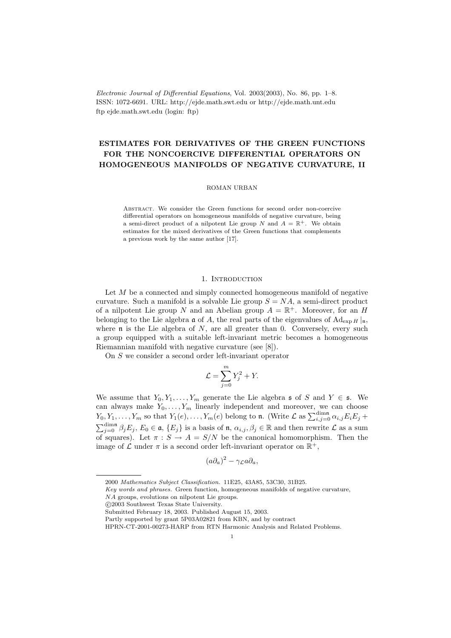Electronic Journal of Differential Equations, Vol. 2003(2003), No. 86, pp. 1–8. ISSN: 1072-6691. URL: http://ejde.math.swt.edu or http://ejde.math.unt.edu ftp ejde.math.swt.edu (login: ftp)

# ESTIMATES FOR DERIVATIVES OF THE GREEN FUNCTIONS FOR THE NONCOERCIVE DIFFERENTIAL OPERATORS ON HOMOGENEOUS MANIFOLDS OF NEGATIVE CURVATURE, II

## ROMAN URBAN

Abstract. We consider the Green functions for second order non-coercive differential operators on homogeneous manifolds of negative curvature, being a semi-direct product of a nilpotent Lie group N and  $A = \mathbb{R}^+$ . We obtain estimates for the mixed derivatives of the Green functions that complements a previous work by the same author [17].

## 1. INTRODUCTION

Let M be a connected and simply connected homogeneous manifold of negative curvature. Such a manifold is a solvable Lie group  $S = NA$ , a semi-direct product of a nilpotent Lie group N and an Abelian group  $A = \mathbb{R}^+$ . Moreover, for an H belonging to the Lie algebra  $\mathfrak a$  of A, the real parts of the eigenvalues of Ad<sub>exp H</sub>  $|_{\mathfrak n}$ , where  $\mathfrak n$  is the Lie algebra of N, are all greater than 0. Conversely, every such a group equipped with a suitable left-invariant metric becomes a homogeneous Riemannian manifold with negative curvature (see [8]).

On S we consider a second order left-invariant operator

$$
\mathcal{L} = \sum_{j=0}^{m} Y_j^2 + Y.
$$

We assume that  $Y_0, Y_1, \ldots, Y_m$  generate the Lie algebra  $\mathfrak{s}$  of S and  $Y \in \mathfrak{s}$ . We can always make  $Y_0, \ldots, Y_m$  linearly independent and moreover, we can choose  $Y_0, Y_1, \ldots, Y_m$  so that  $Y_1(e), \ldots, Y_m(e)$  belong to **n**. (Write  $\mathcal{L}$  as  $\sum_{i,j=0}^{\dim \mathfrak{n}} \alpha_{i,j} E_i E_j +$  $\sum_{j=0}^{\dim \mathfrak{n}} \beta_j E_j$ ,  $E_0 \in \mathfrak{a}, \{E_j\}$  is a basis of  $\mathfrak{n}, \alpha_{i,j}, \beta_j \in \mathbb{R}$  and then rewrite  $\mathcal L$  as a sum of squares). Let  $\pi : S \to A = S/N$  be the canonical homomorphism. Then the image of  $\mathcal L$  under  $\pi$  is a second order left-invariant operator on  $\mathbb R^+$ ,

$$
(a\partial_a)^2 - \gamma_{\mathcal{L}}a\partial_a,
$$

<sup>2000</sup> Mathematics Subject Classification. 11E25, 43A85, 53C30, 31B25.

Key words and phrases. Green function, homogeneous manifolds of negative curvature,

NA groups, evolutions on nilpotent Lie groups.

c 2003 Southwest Texas State University.

Submitted February 18, 2003. Published August 15, 2003.

Partly supported by grant 5P03A02821 from KBN, and by contract

HPRN-CT-2001-00273-HARP from RTN Harmonic Analysis and Related Problems.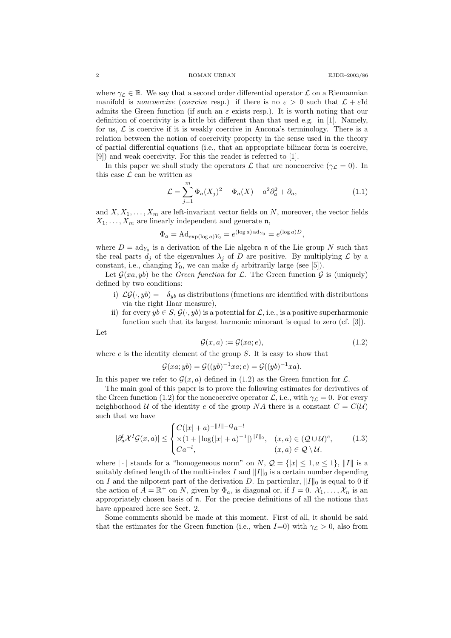where  $\gamma_{\mathcal{L}} \in \mathbb{R}$ . We say that a second order differential operator  $\mathcal{L}$  on a Riemannian manifold is *noncoercive* (*coercive* resp.) if there is no  $\varepsilon > 0$  such that  $\mathcal{L} + \varepsilon$ Id admits the Green function (if such an  $\varepsilon$  exists resp.). It is worth noting that our definition of coercivity is a little bit different than that used e.g. in [1]. Namely, for us,  $\mathcal L$  is coercive if it is weakly coercive in Ancona's terminology. There is a relation between the notion of coercivity property in the sense used in the theory of partial differential equations (i.e., that an appropriate bilinear form is coercive, [9]) and weak coercivity. For this the reader is referred to [1].

In this paper we shall study the operators  $\mathcal L$  that are noncoercive  $(\gamma_{\mathcal L} = 0)$ . In this case  $\mathcal L$  can be written as

$$
\mathcal{L} = \sum_{j=1}^{m} \Phi_a(X_j)^2 + \Phi_a(X) + a^2 \partial_a^2 + \partial_a,
$$
\n(1.1)

and  $X, X_1, \ldots, X_m$  are left-invariant vector fields on N, moreover, the vector fields  $X_1, \ldots, X_m$  are linearly independent and generate n,

$$
\Phi_a = \mathrm{Ad}_{\exp(\log a)Y_0} = e^{(\log a) \operatorname{ad}_{Y_0}} = e^{(\log a)D},
$$

where  $D = \text{ad}_{Y_0}$  is a derivation of the Lie algebra **n** of the Lie group N such that the real parts  $d_i$  of the eigenvalues  $\lambda_i$  of D are positive. By multiplying  $\mathcal L$  by a constant, i.e., changing  $Y_0$ , we can make  $d_i$  arbitrarily large (see [5]).

Let  $\mathcal{G}(xa, yb)$  be the *Green function* for  $\mathcal{L}$ . The Green function  $\mathcal{G}$  is (uniquely) defined by two conditions:

- i)  $\mathcal{LG}(\cdot, yb) = -\delta_{yb}$  as distributions (functions are identified with distributions via the right Haar measure),
- ii) for every  $yb \in S$ ,  $\mathcal{G}(\cdot, yb)$  is a potential for  $\mathcal{L}$ , i.e., is a positive superharmonic function such that its largest harmonic minorant is equal to zero (cf. [3]).

Let

$$
\mathcal{G}(x, a) := \mathcal{G}(xa; e),\tag{1.2}
$$

where  $e$  is the identity element of the group  $S$ . It is easy to show that

$$
\mathcal{G}(xa; yb) = \mathcal{G}((yb)^{-1}xa; e) = \mathcal{G}((yb)^{-1}xa).
$$

In this paper we refer to  $\mathcal{G}(x, a)$  defined in (1.2) as the Green function for  $\mathcal{L}$ .

The main goal of this paper is to prove the following estimates for derivatives of the Green function (1.2) for the noncoercive operator  $\mathcal{L}$ , i.e., with  $\gamma_{\mathcal{L}} = 0$ . For every neighborhood U of the identity e of the group NA there is a constant  $C = C(U)$ such that we have

$$
|\partial_a^l \mathcal{X}^I \mathcal{G}(x, a)| \leq \begin{cases} C(|x| + a)^{-\|I\| - Q} a^{-l} \\ \times (1 + |\log(|x| + a)^{-1}|)^{\|I\|_0}, & (x, a) \in (\mathcal{Q} \cup \mathcal{U})^c, \\ Ca^{-l}, & (x, a) \in \mathcal{Q} \setminus \mathcal{U}. \end{cases}
$$
(1.3)

where  $|\cdot|$  stands for a "homogeneous norm" on N,  $\mathcal{Q} = \{|x| \leq 1, a \leq 1\}$ ,  $||I||$  is a suitably defined length of the multi-index I and  $||I||_0$  is a certain number depending on I and the nilpotent part of the derivation D. In particular,  $||I||_0$  is equal to 0 if the action of  $A = \mathbb{R}^+$  on N, given by  $\Phi_a$ , is diagonal or, if  $I = 0$ .  $\mathcal{X}_1, \ldots, \mathcal{X}_n$  is an appropriately chosen basis of n. For the precise definitions of all the notions that have appeared here see Sect. 2.

Some comments should be made at this moment. First of all, it should be said that the estimates for the Green function (i.e., when  $I=0$ ) with  $\gamma_{\mathcal{L}} > 0$ , also from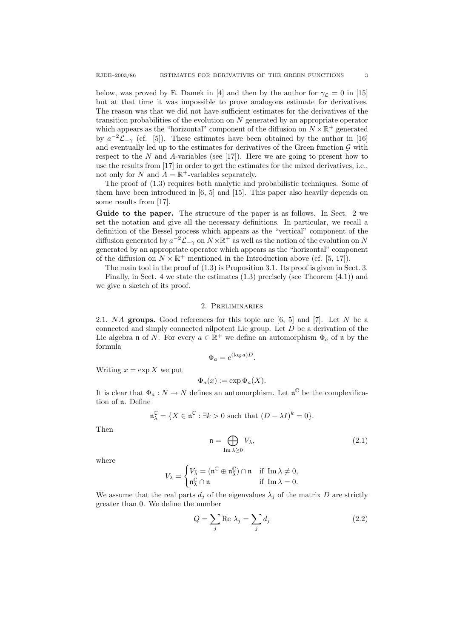below, was proved by E. Damek in [4] and then by the author for  $\gamma_{\mathcal{L}} = 0$  in [15] but at that time it was impossible to prove analogous estimate for derivatives. The reason was that we did not have sufficient estimates for the derivatives of the transition probabilities of the evolution on  $N$  generated by an appropriate operator which appears as the "horizontal" component of the diffusion on  $N \times \mathbb{R}^+$  generated by  $a^{-2}\mathcal{L}_{-\gamma}$  (cf. [5]). These estimates have been obtained by the author in [16] and eventually led up to the estimates for derivatives of the Green function  $\mathcal G$  with respect to the  $N$  and  $A$ -variables (see [17]). Here we are going to present how to use the results from [17] in order to get the estimates for the mixed derivatives, i.e., not only for N and  $A = \mathbb{R}^+$ -variables separately.

The proof of (1.3) requires both analytic and probabilistic techniques. Some of them have been introduced in [6, 5] and [15]. This paper also heavily depends on some results from [17].

Guide to the paper. The structure of the paper is as follows. In Sect. 2 we set the notation and give all the necessary definitions. In particular, we recall a definition of the Bessel process which appears as the "vertical" component of the diffusion generated by  $a^{-2}\mathcal{L}_{-\gamma}$  on  $N \times \mathbb{R}^+$  as well as the notion of the evolution on N generated by an appropriate operator which appears as the "horizontal" component of the diffusion on  $N \times \mathbb{R}^+$  mentioned in the Introduction above (cf. [5, 17]).

The main tool in the proof of  $(1.3)$  is Proposition 3.1. Its proof is given in Sect. 3.

Finally, in Sect. 4 we state the estimates (1.3) precisely (see Theorem (4.1)) and we give a sketch of its proof.

# 2. Preliminaries

2.1. NA groups. Good references for this topic are  $[6, 5]$  and  $[7]$ . Let N be a connected and simply connected nilpotent Lie group. Let  $D$  be a derivation of the Lie algebra **n** of N. For every  $a \in \mathbb{R}^+$  we define an automorphism  $\Phi_a$  of **n** by the formula

$$
\Phi_a = e^{(\log a)D}.
$$

Writing  $x = \exp X$  we put

$$
\Phi_a(x) := \exp \Phi_a(X).
$$

It is clear that  $\Phi_a: N \to N$  defines an automorphism. Let  $\mathfrak{n}^{\mathbb{C}}$  be the complexification of n. Define

$$
\mathfrak{n}_{\lambda}^{\mathbb{C}} = \{ X \in \mathfrak{n}^{\mathbb{C}} : \exists k > 0 \text{ such that } (D - \lambda I)^{k} = 0 \}.
$$

Then

$$
\mathfrak{n} = \bigoplus_{\text{Im }\lambda \ge 0} V_{\lambda},\tag{2.1}
$$

where

$$
V_{\lambda} = \begin{cases} V_{\bar{\lambda}} = (\mathfrak{n}^{\mathbb{C}} \oplus \mathfrak{n}_{\bar{\lambda}}^{\mathbb{C}}) \cap \mathfrak{n} & \text{if } \operatorname{Im} \lambda \neq 0, \\ \mathfrak{n}_{\lambda}^{\mathbb{C}} \cap \mathfrak{n} & \text{if } \operatorname{Im} \lambda = 0. \end{cases}
$$

We assume that the real parts  $d_i$  of the eigenvalues  $\lambda_i$  of the matrix D are strictly greater than 0. We define the number

$$
Q = \sum_{j} \text{Re } \lambda_j = \sum_{j} d_j \tag{2.2}
$$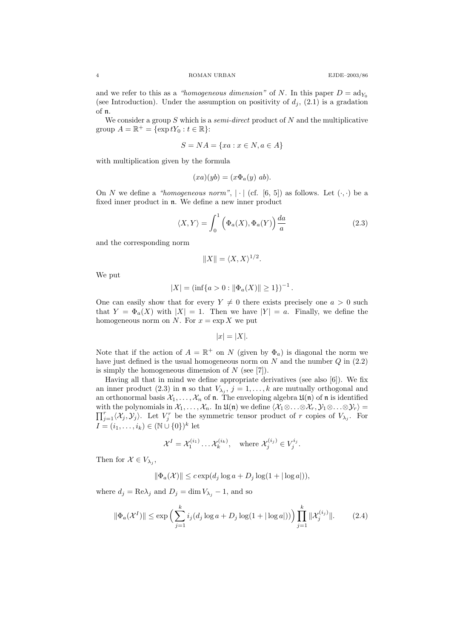and we refer to this as a "homogeneous dimension" of N. In this paper  $D = \text{ad}_{Y_0}$ (see Introduction). Under the assumption on positivity of  $d_j$ , (2.1) is a gradation of n.

We consider a group  $S$  which is a *semi-direct* product of  $N$  and the multiplicative group  $A = \mathbb{R}^+ = \{ \exp tY_0 : t \in \mathbb{R} \}$ :

$$
S = NA = \{xa : x \in N, a \in A\}
$$

with multiplication given by the formula

$$
(xa)(yb)=(x\Phi_a(y)\ ab).
$$

On N we define a "homogeneous norm",  $|\cdot|$  (cf. [6, 5]) as follows. Let  $(\cdot, \cdot)$  be a fixed inner product in n. We define a new inner product

$$
\langle X, Y \rangle = \int_0^1 \left( \Phi_a(X), \Phi_a(Y) \right) \frac{da}{a} \tag{2.3}
$$

and the corresponding norm

$$
||X|| = \langle X, X \rangle^{1/2}.
$$

We put

$$
|X| = (\inf\{a > 0 : \|\Phi_a(X)\| \ge 1\})^{-1}.
$$

One can easily show that for every  $Y \neq 0$  there exists precisely one  $a > 0$  such that  $Y = \Phi_a(X)$  with  $|X| = 1$ . Then we have  $|Y| = a$ . Finally, we define the homogeneous norm on N. For  $x = \exp X$  we put

$$
|x| = |X|.
$$

Note that if the action of  $A = \mathbb{R}^+$  on N (given by  $\Phi_a$ ) is diagonal the norm we have just defined is the usual homogeneous norm on  $N$  and the number  $Q$  in  $(2.2)$ is simply the homogeneous dimension of  $N$  (see [7]).

Having all that in mind we define appropriate derivatives (see also [6]). We fix an inner product (2.3) in **n** so that  $V_{\lambda_j}$ ,  $j = 1, ..., k$  are mutually orthogonal and an orthonormal basis  $X_1, \ldots, X_n$  of **n**. The enveloping algebra  $\mathfrak{U}(\mathfrak{n})$  of **n** is identified with the polynomials in  $\mathcal{X}_1,\ldots,\mathcal{X}_n$ . In  $\mathfrak{U}(\mathfrak{n})$  we define  $\langle \mathcal{X}_1 \otimes \ldots \otimes \mathcal{X}_r, \mathcal{Y}_1 \otimes \ldots \otimes \mathcal{Y}_r \rangle =$  $\prod_{j=1}^r \langle X_j, Y_j \rangle$ . Let  $V_j^r$  be the symmetric tensor product of r copies of  $V_{\lambda_j}$ . For  $I = (i_1, \ldots, i_k) \in (\mathbb{N} \cup \{0\})^k$  let

$$
\mathcal{X}^I = \mathcal{X}_1^{(i_1)} \dots \mathcal{X}_k^{(i_k)}, \quad \text{where } \mathcal{X}_j^{(i_j)} \in V_j^{i_j}.
$$

Then for  $\mathcal{X} \in V_{\lambda_j}$ ,

$$
\|\Phi_a(\mathcal{X})\| \le c \exp(d_j \log a + D_j \log(1 + |\log a|)),
$$

where  $d_j = \text{Re}\lambda_j$  and  $D_j = \dim V_{\lambda_j} - 1$ , and so

$$
\|\Phi_a(\mathcal{X}^I)\| \le \exp\Big(\sum_{j=1}^k i_j (d_j \log a + D_j \log(1 + |\log a|))\Big) \prod_{j=1}^k \|\mathcal{X}_j^{(i_j)}\|.
$$
 (2.4)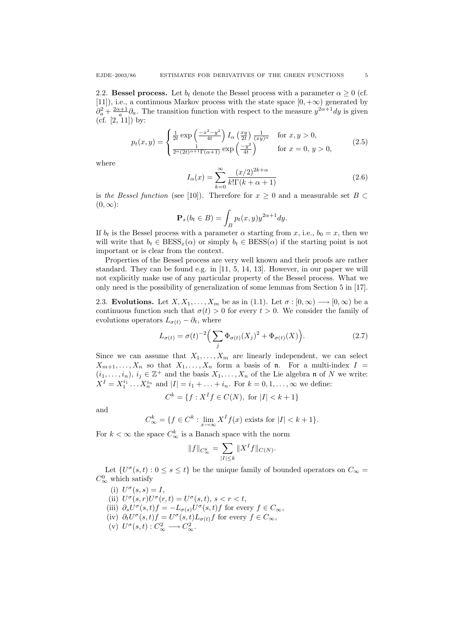2.2. Bessel process. Let  $b_t$  denote the Bessel process with a parameter  $\alpha \geq 0$  (cf. [11]), i.e., a continuous Markov process with the state space  $[0, +\infty)$  generated by  $\partial_a^2 + \frac{2\alpha+1}{a} \partial_a$ . The transition function with respect to the measure  $y^{2\alpha+1} dy$  is given (cf.  $[2, 11]$ ) by:

$$
p_t(x,y) = \begin{cases} \frac{1}{2t} \exp\left(\frac{-x^2 - y^2}{4t}\right) I_\alpha\left(\frac{xy}{2t}\right) \frac{1}{(xy)^\alpha} & \text{for } x, y > 0, \\ \frac{1}{2^\alpha (2t)^{\alpha+1} \Gamma(\alpha+1)} \exp\left(\frac{-y^2}{4t}\right) & \text{for } x = 0, y > 0, \end{cases}
$$
(2.5)

where

$$
I_{\alpha}(x) = \sum_{k=0}^{\infty} \frac{(x/2)^{2k+\alpha}}{k!\Gamma(k+\alpha+1)}
$$
(2.6)

is the Bessel function (see [10]). Therefore for  $x \geq 0$  and a measurable set  $B \subset$  $(0, \infty)$ :

$$
\mathbf{P}_x(b_t \in B) = \int_B p_t(x, y) y^{2\alpha + 1} dy.
$$

If  $b_t$  is the Bessel process with a parameter  $\alpha$  starting from x, i.e.,  $b_0 = x$ , then we will write that  $b_t \in BESS_x(\alpha)$  or simply  $b_t \in BESS(\alpha)$  if the starting point is not important or is clear from the context.

Properties of the Bessel process are very well known and their proofs are rather standard. They can be found e.g. in [11, 5, 14, 13]. However, in our paper we will not explicitly make use of any particular property of the Bessel process. What we only need is the possibility of generalization of some lemmas from Section 5 in [17].

2.3. Evolutions. Let  $X, X_1, \ldots, X_m$  be as in (1.1). Let  $\sigma : [0, \infty) \longrightarrow [0, \infty)$  be a continuous function such that  $\sigma(t) > 0$  for every  $t > 0$ . We consider the family of evolutions operators  $L_{\sigma(t)} - \partial_t$ , where

$$
L_{\sigma(t)} = \sigma(t)^{-2} \Big( \sum_{j} \Phi_{\sigma(t)}(X_j)^2 + \Phi_{\sigma(t)}(X) \Big). \tag{2.7}
$$

Since we can assume that  $X_1, \ldots, X_m$  are linearly independent, we can select  $X_{m+1}, \ldots, X_n$  so that  $X_1, \ldots, X_n$  form a basis of n. For a multi-index  $I =$  $(i_1, \ldots, i_n), i_j \in \mathbb{Z}^+$  and the basis  $X_1, \ldots, X_n$  of the Lie algebra n of N we write:  $X^{I} = X_{1}^{i_{1}} \dots X_{n}^{i_{n}}$  and  $|I| = i_{1} + \dots + i_{n}$ . For  $k = 0, 1, \dots, \infty$  we define:

$$
C^k = \{ f : X^I f \in C(N), \text{ for } |I| < k+1 \}
$$

and

$$
C_{\infty}^{k} = \{ f \in C^{k} : \lim_{x \to \infty} X^{I} f(x) \text{ exists for } |I| < k+1 \}.
$$

For  $k < \infty$  the space  $C_{\infty}^k$  is a Banach space with the norm

$$
||f||_{C^{k}_{\infty}} = \sum_{|I| \leq k} ||X^{I}f||_{C(N)}.
$$

Let  $\{U^{\sigma}(s,t): 0 \le s \le t\}$  be the unique family of bounded operators on  $C_{\infty}$  =  $C_{\infty}^{0}$  which satisfy

(i)  $U^{\sigma}(s,s) = I$ , (ii)  $U^{\sigma}(s,r)U^{\sigma}(r,t) = U^{\sigma}(s,t), s < r < t,$ (iii)  $\partial_s U^{\sigma}(s,t) f = -L_{\sigma(s)} U^{\sigma}(s,t) f$  for every  $f \in C_{\infty}$ , (iv)  $\partial_t U^{\sigma}(s,t)f = U^{\sigma}(s,t)L_{\sigma(t)}f$  for every  $f \in C_{\infty}$ , (v)  $U^{\sigma}(s,t): C^2_{\infty} \longrightarrow C^2_{\infty}.$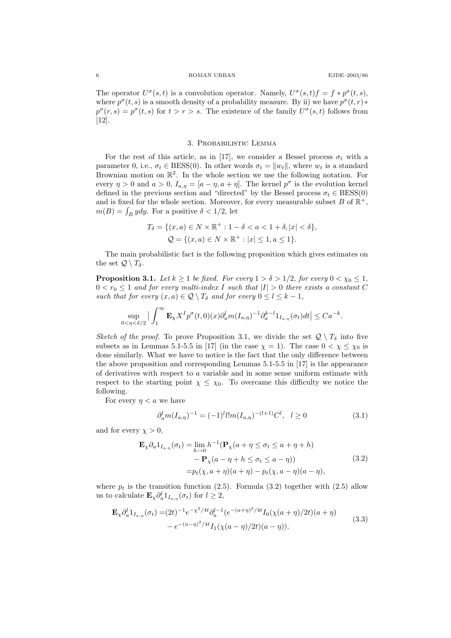6 ROMAN URBAN EJDE–2003/86

The operator  $U^{\sigma}(s,t)$  is a convolution operator. Namely,  $U^{\sigma}(s,t)f = f * p^{\sigma}(t,s)$ , where  $p^{\sigma}(t, s)$  is a smooth density of a probability measure. By ii) we have  $p^{\sigma}(t, r)$ \*  $p^{\sigma}(r,s) = p^{\sigma}(t,s)$  for  $t > r > s$ . The existence of the family  $U^{\sigma}(s,t)$  follows from [12].

#### 3. Probabilistic Lemma

For the rest of this article, as in [17], we consider a Bessel process  $\sigma_t$  with a parameter 0, i.e.,  $\sigma_t \in BESS(0)$ . In other words  $\sigma_t = ||w_t||$ , where  $w_t$  is a standard Brownian motion on  $\mathbb{R}^2$ . In the whole section we use the following notation. For every  $\eta > 0$  and  $a > 0$ ,  $I_{a,\eta} = [a - \eta, a + \eta]$ . The kernel  $p^{\sigma}$  is the evolution kernel defined in the previous section and "directed" by the Bessel process  $\sigma_t \in BESS(0)$ and is fixed for the whole section. Moreover, for every measurable subset B of  $\mathbb{R}^+$ ,  $m(B) = \int_B y dy$ . For a positive  $\delta < 1/2$ , let

$$
T_{\delta} = \{ (x, a) \in N \times \mathbb{R}^+ : 1 - \delta < a < 1 + \delta, |x| < \delta \},
$$
\n
$$
\mathcal{Q} = \{ (x, a) \in N \times \mathbb{R}^+ : |x| \le 1, a \le 1 \}.
$$

The main probabilistic fact is the following proposition which gives estimates on the set  $\mathcal{Q} \setminus T_{\delta}$ .

**Proposition 3.1.** Let  $k \geq 1$  be fixed. For every  $1 > \delta > 1/2$ , for every  $0 < \chi_0 \leq 1$ ,  $0 < r_0 \leq 1$  and for every multi-index I such that  $|I| > 0$  there exists a constant C such that for every  $(x, a) \in \mathcal{Q} \setminus T_{\delta}$  and for every  $0 \leq l \leq k - 1$ ,

$$
\sup_{0<\eta<\delta/2} \big|\int_1^\infty \mathbf{E}_\chi X^I p^\sigma(t,0)(x) \partial_a^l m(I_{a,\eta})^{-1} \partial_a^{k-l} 1_{I_{a,\eta}}(\sigma_t) dt\big| \leq C a^{-k}.
$$

Sketch of the proof. To prove Proposition 3.1, we divide the set  $\mathcal{Q} \setminus T_\delta$  into five subsets as in Lemmas 5.1-5.5 in [17] (in the case  $\chi = 1$ ). The case  $0 < \chi \leq \chi_0$  is done similarly. What we have to notice is the fact that the only difference between the above proposition and corresponding Lemmas 5.1-5.5 in [17] is the appearance of derivatives with respect to a variable and in some sense uniform estimate with respect to the starting point  $\chi \leq \chi_0$ . To overcame this difficulty we notice the following.

For every  $\eta < a$  we have

$$
\partial_a^l m(I_{a,\eta})^{-1} = (-1)^l l! m(I_{a,\eta})^{-(l+1)} C^l, \quad l \ge 0 \tag{3.1}
$$

and for every  $\chi > 0$ ,

$$
\mathbf{E}_{\chi} \partial_{a} 1_{I_{a,\eta}}(\sigma_{t}) = \lim_{h \to 0} h^{-1}(\mathbf{P}_{\chi}(a + \eta \le \sigma_{t} \le a + \eta + h)) - \mathbf{P}_{\chi}(a - \eta + h \le \sigma_{t} \le a - \eta)) - \mathbf{P}_{t}(\chi, a + \eta)(a + \eta) - p_{t}(\chi, a - \eta)(a - \eta),
$$
\n(3.2)

where  $p_t$  is the transition function (2.5). Formula (3.2) together with (2.5) allow us to calculate  $\mathbf{E}_{\chi} \partial_a^l 1_{I_{a,\eta}} (\sigma_t)$  for  $l \geq 2$ ,

$$
\mathbf{E}_{\chi} \partial_{a}^{l} 1_{I_{a,\eta}}(\sigma_{t}) = (2t)^{-1} e^{-\chi^{2}/4t} \partial_{a}^{l-1} (e^{-(a+\eta)^{2}/4t} I_{0}(\chi(a+\eta)/2t)(a+\eta) - e^{-(a-\eta)^{2}/4t} I_{1}(\chi(a-\eta)/2t)(a-\eta)).
$$
\n(3.3)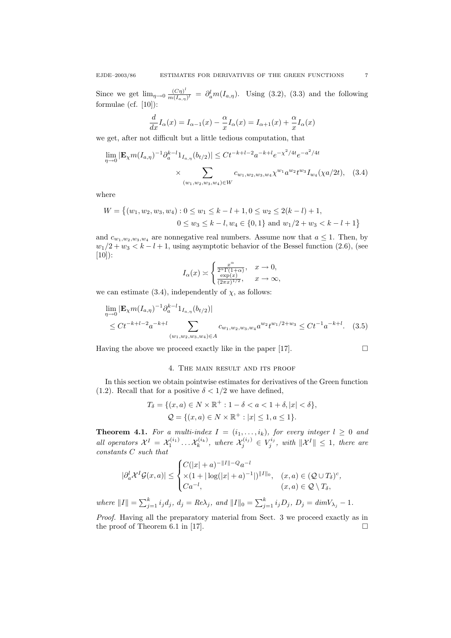Since we get  $\lim_{\eta \to 0} \frac{(C\eta)^l}{m(I_{\alpha,\eta})}$  $\frac{(C\eta)^i}{m(I_{a,\eta})^i} = \partial_a^l m(I_{a,\eta})$ . Using (3.2), (3.3) and the following formulae (cf. [10]):

$$
\frac{d}{dx}I_{\alpha}(x) = I_{\alpha-1}(x) - \frac{\alpha}{x}I_{\alpha}(x) = I_{\alpha+1}(x) + \frac{\alpha}{x}I_{\alpha}(x)
$$

we get, after not difficult but a little tedious computation, that

$$
\lim_{\eta \to 0} |\mathbf{E}_{\chi} m(I_{a,\eta})^{-1} \partial_a^{k-l} 1_{I_{a,\eta}}(b_{t/2})| \le Ct^{-k+l-2} a^{-k+l} e^{-\chi^2/4t} e^{-a^2/4t}
$$

$$
\times \sum_{(w_1, w_2, w_3, w_4) \in W} c_{w_1, w_2, w_3, w_4} \chi^{w_1} a^{w_2} t^{w_3} I_{w_4}(\chi a/2t), \quad (3.4)
$$

where

$$
W = \{(w_1, w_2, w_3, w_4) : 0 \le w_1 \le k - l + 1, 0 \le w_2 \le 2(k - l) + 1, 0 \le w_3 \le k - l, w_4 \in \{0, 1\} \text{ and } w_1/2 + w_3 < k - l + 1\}
$$

and  $c_{w_1,w_2,w_3,w_4}$  are nonnegative real numbers. Assume now that  $a \leq 1$ . Then, by  $w_1/2 + w_3 < k - l + 1$ , using asymptotic behavior of the Bessel function (2.6), (see  $[10]$ :

$$
I_{\alpha}(x) \asymp \begin{cases} \frac{x^{\alpha}}{2^{\alpha} \Gamma(1+\alpha)}, & x \to 0, \\ \frac{\exp(x)}{(2\pi x)^{1/2}}, & x \to \infty, \end{cases}
$$

we can estimate (3.4), independently of  $\chi$ , as follows:

$$
\lim_{\eta \to 0} |\mathbf{E}_{\chi} m(I_{a,\eta})^{-1} \partial_a^{k-l} 1_{I_{a,\eta}}(b_{t/2})|
$$
\n
$$
\leq Ct^{-k+l-2} a^{-k+l} \sum_{(w_1, w_2, w_3, w_4) \in A} c_{w_1, w_2, w_3, w_4} a^{w_2} t^{w_1/2 + w_3} \leq Ct^{-1} a^{-k+l}.
$$
\n(3.5)

Having the above we proceed exactly like in the paper [17].  $\Box$ 

# 4. The main result and its proof

In this section we obtain pointwise estimates for derivatives of the Green function (1.2). Recall that for a positive  $\delta < 1/2$  we have defined,

$$
T_{\delta} = \{ (x, a) \in N \times \mathbb{R}^+ : 1 - \delta < a < 1 + \delta, |x| < \delta \},
$$
\n
$$
\mathcal{Q} = \{ (x, a) \in N \times \mathbb{R}^+ : |x| \le 1, a \le 1 \}.
$$

**Theorem 4.1.** For a multi-index  $I = (i_1, \ldots, i_k)$ , for every integer  $l \geq 0$  and all operators  $\mathcal{X}^I = \mathcal{X}_1^{(i_1)} \dots \mathcal{X}_k^{(i_k)}$ , where  $\mathcal{X}_j^{(i_j)} \in V_j^{i_j}$ , with  $\|\mathcal{X}^I\| \leq 1$ , there are constants C such that

$$
|\partial_a^l \mathcal{X}^I \mathcal{G}(x, a)| \leq \begin{cases} C(|x|+a)^{-\|I\|-Q} a^{-l} \\ \times (1+|\log(|x|+a)^{-1}|)^{\|I\|_0}, & (x, a) \in (\mathcal{Q} \cup T_\delta)^c, \\ Ca^{-l}, & (x, a) \in \mathcal{Q} \setminus T_\delta, \end{cases}
$$

where  $||I|| = \sum_{j=1}^{k} i_j d_j$ ,  $d_j = Re\lambda_j$ , and  $||I||_0 = \sum_{j=1}^{k} i_j D_j$ ,  $D_j = dimV_{\lambda_j} - 1$ .

Proof. Having all the preparatory material from Sect. 3 we proceed exactly as in the proof of Theorem 6.1 in [17].  $\square$